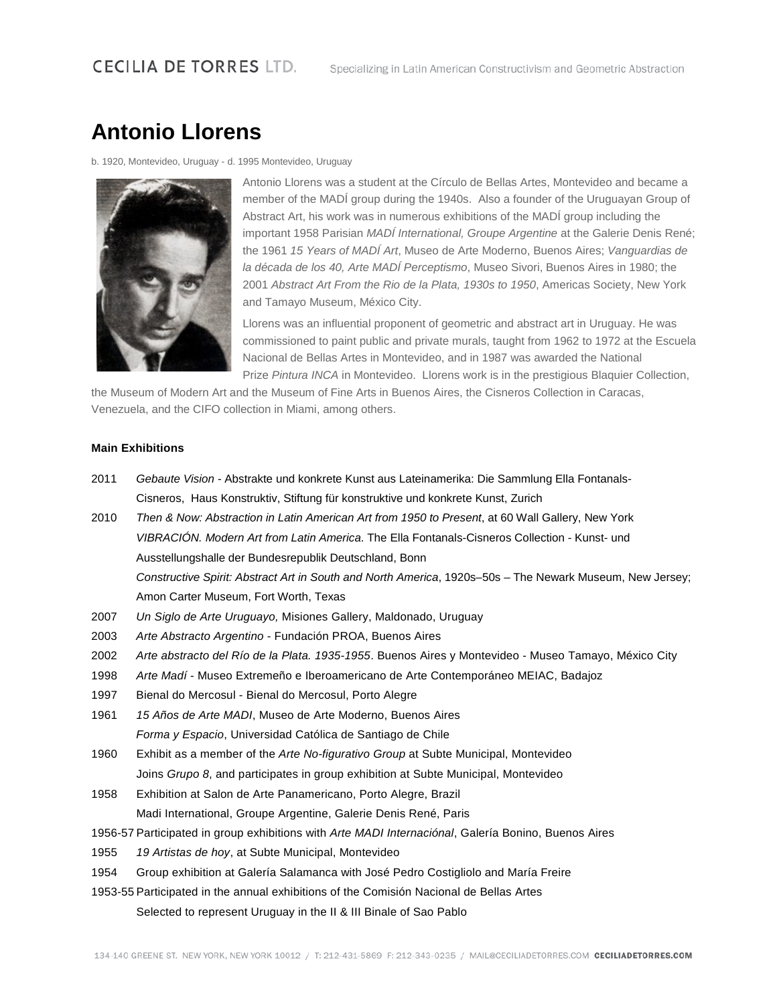## **Antonio Llorens**

b. 1920, Montevideo, Uruguay - d. 1995 Montevideo, Uruguay



Antonio Llorens was a student at the Círculo de Bellas Artes, Montevideo and became a member of the MADÍ group during the 1940s. Also a founder of the Uruguayan Group of Abstract Art, his work was in numerous exhibitions of the MADÍ group including the important 1958 Parisian *MADÍ International, Groupe Argentine* at the Galerie Denis René; the 1961 *15 Years of MADÍ Art*, Museo de Arte Moderno, Buenos Aires; *Vanguardias de la década de los 40, Arte MADÍ Perceptismo*, Museo Sivori, Buenos Aires in 1980; the 2001 *Abstract Art From the Rio de la Plata, 1930s to 1950*, Americas Society, New York and Tamayo Museum, México City.

Llorens was an influential proponent of geometric and abstract art in Uruguay. He was commissioned to paint public and private murals, taught from 1962 to 1972 at the Escuela Nacional de Bellas Artes in Montevideo, and in 1987 was awarded the National Prize *Pintura INCA* in Montevideo. Llorens work is in the prestigious Blaquier Collection,

the Museum of Modern Art and the Museum of Fine Arts in Buenos Aires, the Cisneros Collection in Caracas, Venezuela, and the CIFO collection in Miami, among others.

## **Main Exhibitions**

- 2011 *Gebaute Vision* Abstrakte und konkrete Kunst aus Lateinamerika: Die Sammlung Ella Fontanals-Cisneros, Haus Konstruktiv, Stiftung für konstruktive und konkrete Kunst, Zurich
- 2010 *Then & Now: Abstraction in Latin American Art from 1950 to Present*, at 60 Wall Gallery, New York *VIBRACIÓN. Modern Art from Latin America*. The Ella Fontanals-Cisneros Collection - Kunst- und Ausstellungshalle der Bundesrepublik Deutschland, Bonn *Constructive Spirit: Abstract Art in South and North America*, 1920s–50s – The Newark Museum, New Jersey; Amon Carter Museum, Fort Worth, Texas
- 2007 *Un Siglo de Arte Uruguayo,* Misiones Gallery, Maldonado, Uruguay
- 2003 *Arte Abstracto Argentino* Fundación PROA, Buenos Aires
- 2002 *Arte abstracto del Río de la Plata. 1935-1955*. Buenos Aires y Montevideo Museo Tamayo, México City
- 1998 *Arte Madí* Museo Extremeño e Iberoamericano de Arte Contemporáneo MEIAC, Badajoz
- 1997 Bienal do Mercosul Bienal do Mercosul, Porto Alegre
- 1961 *15 Años de Arte MADI*, Museo de Arte Moderno, Buenos Aires *Forma y Espacio*, Universidad Católica de Santiago de Chile
- 1960 Exhibit as a member of the *Arte No-figurativo Group* at Subte Municipal, Montevideo Joins *Grupo 8*, and participates in group exhibition at Subte Municipal, Montevideo
- 1958 Exhibition at Salon de Arte Panamericano, Porto Alegre, Brazil
	- Madi International, Groupe Argentine, Galerie Denis René, Paris
- 1956-57 Participated in group exhibitions with *Arte MADI Internaciónal*, Galería Bonino, Buenos Aires
- 1955 *19 Artistas de hoy*, at Subte Municipal, Montevideo
- 1954 Group exhibition at Galería Salamanca with José Pedro Costigliolo and María Freire
- 1953-55 Participated in the annual exhibitions of the Comisión Nacional de Bellas Artes Selected to represent Uruguay in the II & III Binale of Sao Pablo